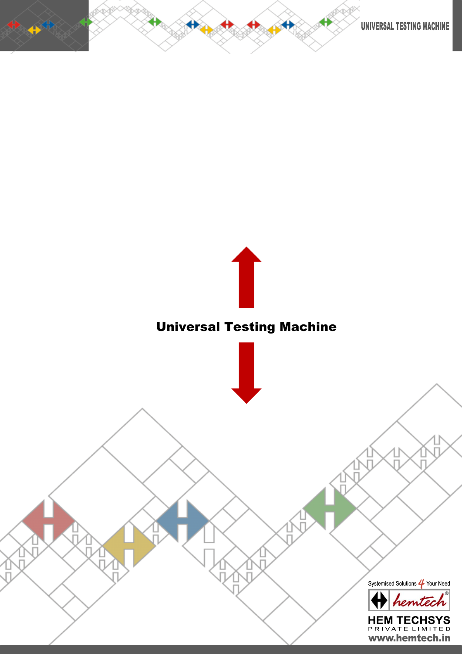



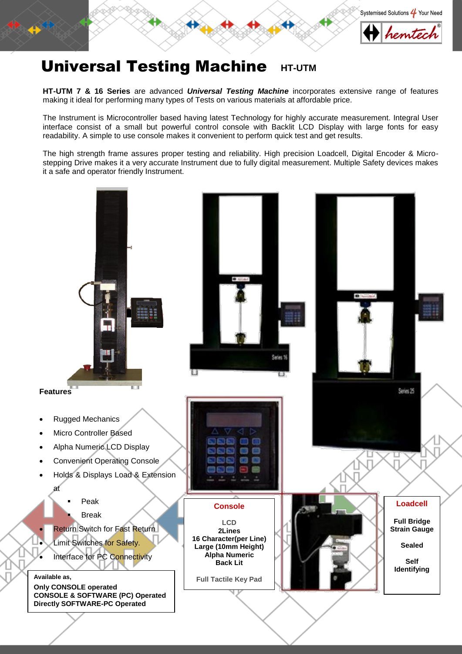



# **Universal Testing Machine HT-UTM**

**HT-UTM 7 & 16 Series** are advanced *Universal Testing Machine* incorporates extensive range of features making it ideal for performing many types of Tests on various materials at affordable price.

The Instrument is Microcontroller based having latest Technology for highly accurate measurement. Integral User interface consist of a small but powerful control console with Backlit LCD Display with large fonts for easy readability. A simple to use console makes it convenient to perform quick test and get results.

The high strength frame assures proper testing and reliability. High precision Loadcell, Digital Encoder & Microstepping Drive makes it a very accurate Instrument due to fully digital measurement. Multiple Safety devices makes it a safe and operator friendly Instrument.

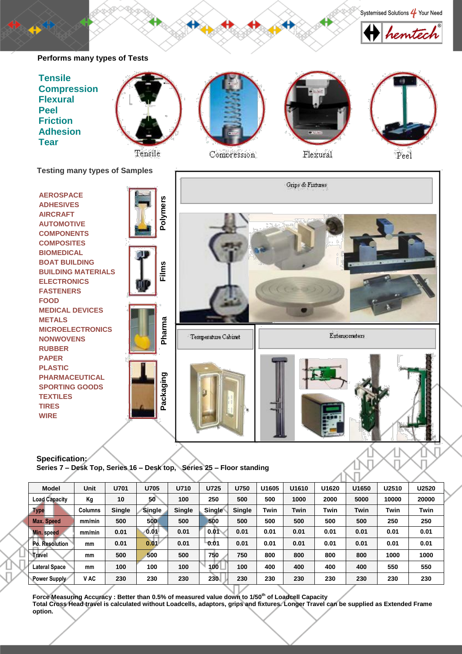### hemtec **Performs many types of Tests Tensile Compression Flexural Peel Friction Adhesion Tear** Flexural

Tensile

Compression

Peel

Systemised Solutions 4 Your Need

**Testing many types of Samples**



Specification:<br>Series 7 - Desk Top, Series 16 - Desk top, Series 25 - Floor standing

| <b>Model</b>         | Unit           | U701   | U705          | U710          | U725   | <b>U750</b>   | U <sub>1605</sub> | U1610 | U1620       | U1650 | U2510 | U2520 |
|----------------------|----------------|--------|---------------|---------------|--------|---------------|-------------------|-------|-------------|-------|-------|-------|
| <b>Load Capacity</b> | Кg             | 10     | 50            | 100           | 250    | 500           | 500               | 1000  | 2000        | 5000  | 10000 | 20000 |
| <b>Type</b>          | <b>Columns</b> | Single | <b>Single</b> | <b>Single</b> | Single | <b>Single</b> | Twin              | Twin  | <b>Twin</b> | Twin  | Twin  | Twin  |
| Max. Speed           | mm/min         | 500    | 500           | 500           | 500    | 500           | 500               | 500   | 500         | 500   | 250   | 250   |
| Min. speed           | mm/min         | 0.01   | 0.01          | 0.01          | 0.01   | 0.01          | 0.01              | 0.01  | 0.01        | 0.01  | 0.01  | 0.01  |
| Po. Resolution       | mm             | 0.01   | 0.01          | 0.01          | 0.01   | 0.01          | 0.01              | 0.01  | 0.01        | 0.01  | 0.01  | 0.01  |
| <b>Travel</b>        | mm             | 500    | 500           | 500           | 750    | 750           | 800               | 800   | 800         | 800   | 1000  | 1000  |
| <b>Lateral Space</b> | mm             | 100    | 100           | 100           | 100    | 100           | 400               | 400   | 400         | 400   | 550   | 550   |
| Power Supply         | V AC           | 230    | 230           | 230           | 230    | 230           | 230               | 230   | 230         | 230   | 230   | 230   |

A T

**Force Measuring Accuracy : Better than 0.5% of measured value down to 1/50th of Loadcell Capacity Total Cross Head travel is calculated without Loadcells, adaptors, grips and fixtures. Longer Travel can be supplied as Extended Frame option.**